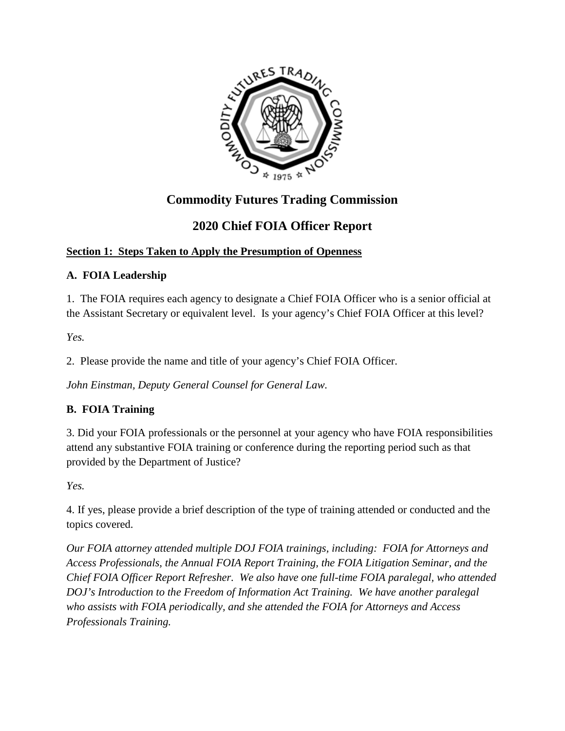

# **Commodity Futures Trading Commission**

# **2020 Chief FOIA Officer Report**

### **Section 1: Steps Taken to Apply the Presumption of Openness**

### **A. FOIA Leadership**

1. The FOIA requires each agency to designate a Chief FOIA Officer who is a senior official at the Assistant Secretary or equivalent level. Is your agency's Chief FOIA Officer at this level?

*Yes.* 

2. Please provide the name and title of your agency's Chief FOIA Officer.

*John Einstman, Deputy General Counsel for General Law.* 

### **B. FOIA Training**

3. Did your FOIA professionals or the personnel at your agency who have FOIA responsibilities attend any substantive FOIA training or conference during the reporting period such as that provided by the Department of Justice?

*Yes.* 

4. If yes, please provide a brief description of the type of training attended or conducted and the topics covered.

*Our FOIA attorney attended multiple DOJ FOIA trainings, including: FOIA for Attorneys and Access Professionals, the Annual FOIA Report Training, the FOIA Litigation Seminar, and the Chief FOIA Officer Report Refresher. We also have one full-time FOIA paralegal, who attended DOJ's Introduction to the Freedom of Information Act Training. We have another paralegal who assists with FOIA periodically, and she attended the FOIA for Attorneys and Access Professionals Training.*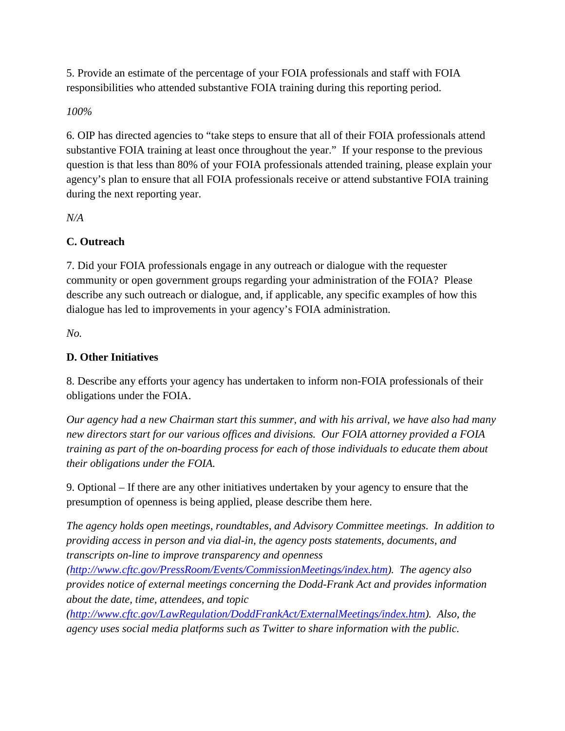5. Provide an estimate of the percentage of your FOIA professionals and staff with FOIA responsibilities who attended substantive FOIA training during this reporting period.

*100%* 

6. OIP has directed agencies to "take steps to ensure that all of their FOIA professionals attend substantive FOIA training at least once throughout the year." If your response to the previous question is that less than 80% of your FOIA professionals attended training, please explain your agency's plan to ensure that all FOIA professionals receive or attend substantive FOIA training during the next reporting year.

*N/A*

### **C. Outreach**

7. Did your FOIA professionals engage in any outreach or dialogue with the requester community or open government groups regarding your administration of the FOIA? Please describe any such outreach or dialogue, and, if applicable, any specific examples of how this dialogue has led to improvements in your agency's FOIA administration.

*No.* 

### **D. Other Initiatives**

8. Describe any efforts your agency has undertaken to inform non-FOIA professionals of their obligations under the FOIA.

*Our agency had a new Chairman start this summer, and with his arrival, we have also had many new directors start for our various offices and divisions. Our FOIA attorney provided a FOIA training as part of the on-boarding process for each of those individuals to educate them about their obligations under the FOIA.* 

9. Optional – If there are any other initiatives undertaken by your agency to ensure that the presumption of openness is being applied, please describe them here.

*The agency holds open meetings, roundtables, and Advisory Committee meetings. In addition to providing access in person and via dial-in, the agency posts statements, documents, and transcripts on-line to improve transparency and openness* 

*[\(http://www.cftc.gov/PressRoom/Events/CommissionMeetings/index.htm\)](http://www.cftc.gov/PressRoom/Events/CommissionMeetings/index.htm). The agency also provides notice of external meetings concerning the Dodd-Frank Act and provides information about the date, time, attendees, and topic* 

*[\(http://www.cftc.gov/LawRegulation/DoddFrankAct/ExternalMeetings/index.htm\)](http://www.cftc.gov/LawRegulation/DoddFrankAct/ExternalMeetings/index.htm). Also, the agency uses social media platforms such as Twitter to share information with the public.*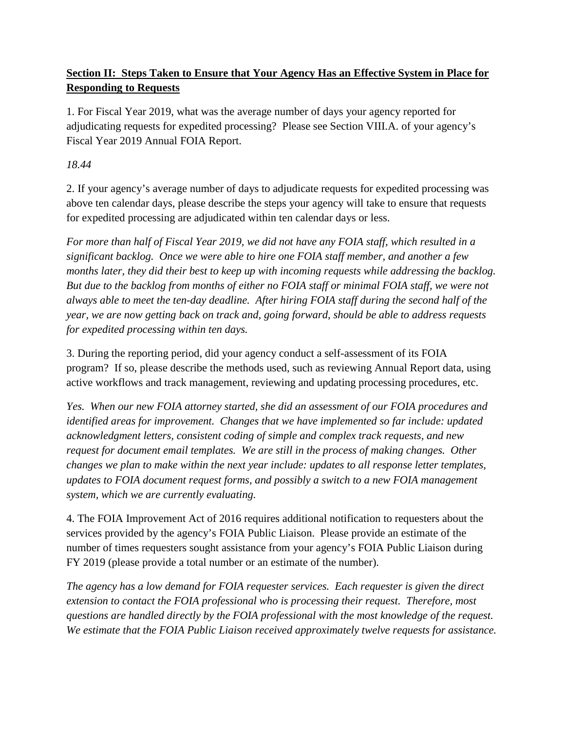### **Section II: Steps Taken to Ensure that Your Agency Has an Effective System in Place for Responding to Requests**

1. For Fiscal Year 2019, what was the average number of days your agency reported for adjudicating requests for expedited processing? Please see Section VIII.A. of your agency's Fiscal Year 2019 Annual FOIA Report.

### *18.44*

2. If your agency's average number of days to adjudicate requests for expedited processing was above ten calendar days, please describe the steps your agency will take to ensure that requests for expedited processing are adjudicated within ten calendar days or less.

*For more than half of Fiscal Year 2019, we did not have any FOIA staff, which resulted in a significant backlog. Once we were able to hire one FOIA staff member, and another a few months later, they did their best to keep up with incoming requests while addressing the backlog. But due to the backlog from months of either no FOIA staff or minimal FOIA staff, we were not always able to meet the ten-day deadline. After hiring FOIA staff during the second half of the year, we are now getting back on track and, going forward, should be able to address requests for expedited processing within ten days.* 

3. During the reporting period, did your agency conduct a self-assessment of its FOIA program? If so, please describe the methods used, such as reviewing Annual Report data, using active workflows and track management, reviewing and updating processing procedures, etc.

*Yes. When our new FOIA attorney started, she did an assessment of our FOIA procedures and identified areas for improvement. Changes that we have implemented so far include: updated acknowledgment letters, consistent coding of simple and complex track requests, and new request for document email templates. We are still in the process of making changes. Other changes we plan to make within the next year include: updates to all response letter templates, updates to FOIA document request forms, and possibly a switch to a new FOIA management system, which we are currently evaluating.* 

4. The FOIA Improvement Act of 2016 requires additional notification to requesters about the services provided by the agency's FOIA Public Liaison. Please provide an estimate of the number of times requesters sought assistance from your agency's FOIA Public Liaison during FY 2019 (please provide a total number or an estimate of the number).

*The agency has a low demand for FOIA requester services. Each requester is given the direct extension to contact the FOIA professional who is processing their request. Therefore, most questions are handled directly by the FOIA professional with the most knowledge of the request. We estimate that the FOIA Public Liaison received approximately twelve requests for assistance.*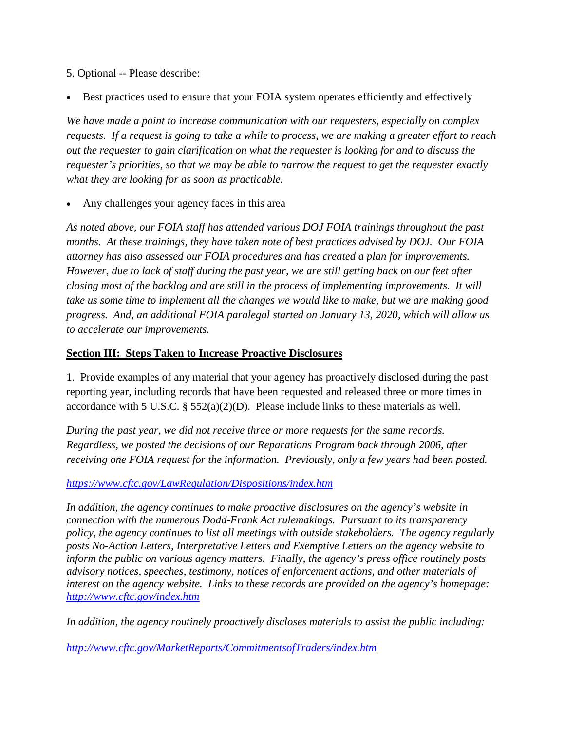5. Optional -- Please describe:

• Best practices used to ensure that your FOIA system operates efficiently and effectively

*We have made a point to increase communication with our requesters, especially on complex requests. If a request is going to take a while to process, we are making a greater effort to reach out the requester to gain clarification on what the requester is looking for and to discuss the requester's priorities, so that we may be able to narrow the request to get the requester exactly what they are looking for as soon as practicable.* 

• Any challenges your agency faces in this area

*As noted above, our FOIA staff has attended various DOJ FOIA trainings throughout the past months. At these trainings, they have taken note of best practices advised by DOJ. Our FOIA attorney has also assessed our FOIA procedures and has created a plan for improvements. However, due to lack of staff during the past year, we are still getting back on our feet after closing most of the backlog and are still in the process of implementing improvements. It will take us some time to implement all the changes we would like to make, but we are making good progress. And, an additional FOIA paralegal started on January 13, 2020, which will allow us to accelerate our improvements.* 

#### **Section III: Steps Taken to Increase Proactive Disclosures**

1. Provide examples of any material that your agency has proactively disclosed during the past reporting year, including records that have been requested and released three or more times in accordance with 5 U.S.C.  $\S 552(a)(2)(D)$ . Please include links to these materials as well.

*During the past year, we did not receive three or more requests for the same records. Regardless, we posted the decisions of our Reparations Program back through 2006, after receiving one FOIA request for the information. Previously, only a few years had been posted.* 

#### *<https://www.cftc.gov/LawRegulation/Dispositions/index.htm>*

*In addition, the agency continues to make proactive disclosures on the agency's website in connection with the numerous Dodd-Frank Act rulemakings. Pursuant to its transparency policy, the agency continues to list all meetings with outside stakeholders. The agency regularly posts No-Action Letters, Interpretative Letters and Exemptive Letters on the agency website to inform the public on various agency matters. Finally, the agency's press office routinely posts advisory notices, speeches, testimony, notices of enforcement actions, and other materials of interest on the agency website. Links to these records are provided on the agency's homepage: <http://www.cftc.gov/index.htm>*

*In addition, the agency routinely proactively discloses materials to assist the public including:* 

*<http://www.cftc.gov/MarketReports/CommitmentsofTraders/index.htm>*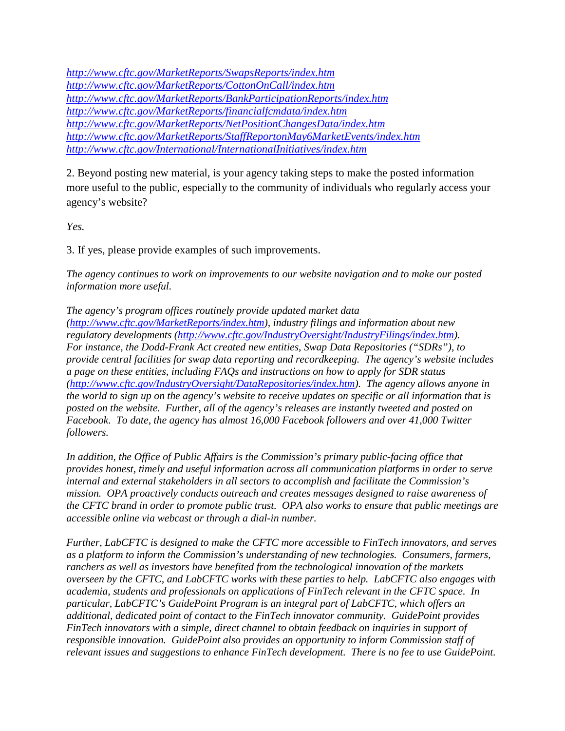*<http://www.cftc.gov/MarketReports/SwapsReports/index.htm> <http://www.cftc.gov/MarketReports/CottonOnCall/index.htm> <http://www.cftc.gov/MarketReports/BankParticipationReports/index.htm> <http://www.cftc.gov/MarketReports/financialfcmdata/index.htm> <http://www.cftc.gov/MarketReports/NetPositionChangesData/index.htm> <http://www.cftc.gov/MarketReports/StaffReportonMay6MarketEvents/index.htm> <http://www.cftc.gov/International/InternationalInitiatives/index.htm>*

2. Beyond posting new material, is your agency taking steps to make the posted information more useful to the public, especially to the community of individuals who regularly access your agency's website?

*Yes.* 

3. If yes, please provide examples of such improvements.

*The agency continues to work on improvements to our website navigation and to make our posted information more useful.* 

*The agency's program offices routinely provide updated market data [\(http://www.cftc.gov/MarketReports/index.htm\)](http://www.cftc.gov/MarketReports/index.htm), industry filings and information about new regulatory developments [\(http://www.cftc.gov/IndustryOversight/IndustryFilings/index.htm\)](http://www.cftc.gov/IndustryOversight/IndustryFilings/index.htm). For instance, the Dodd-Frank Act created new entities, Swap Data Repositories ("SDRs"), to provide central facilities for swap data reporting and recordkeeping. The agency's website includes a page on these entities, including FAQs and instructions on how to apply for SDR status [\(http://www.cftc.gov/IndustryOversight/DataRepositories/index.htm\)](http://www.cftc.gov/IndustryOversight/DataRepositories/index.htm). The agency allows anyone in the world to sign up on the agency's website to receive updates on specific or all information that is posted on the website. Further, all of the agency's releases are instantly tweeted and posted on Facebook. To date, the agency has almost 16,000 Facebook followers and over 41,000 Twitter followers.* 

*In addition, the Office of Public Affairs is the Commission's primary public-facing office that provides honest, timely and useful information across all communication platforms in order to serve internal and external stakeholders in all sectors to accomplish and facilitate the Commission's mission. OPA proactively conducts outreach and creates messages designed to raise awareness of the CFTC brand in order to promote public trust. OPA also works to ensure that public meetings are accessible online via webcast or through a dial-in number.* 

*Further, LabCFTC is designed to make the CFTC more accessible to FinTech innovators, and serves as a platform to inform the Commission's understanding of new technologies. Consumers, farmers, ranchers as well as investors have benefited from the technological innovation of the markets overseen by the CFTC, and LabCFTC works with these parties to help. LabCFTC also engages with academia, students and professionals on applications of FinTech relevant in the CFTC space. In particular, LabCFTC's GuidePoint Program is an integral part of LabCFTC, which offers an additional, dedicated point of contact to the FinTech innovator community. GuidePoint provides FinTech innovators with a simple, direct channel to obtain feedback on inquiries in support of responsible innovation. GuidePoint also provides an opportunity to inform Commission staff of relevant issues and suggestions to enhance FinTech development. There is no fee to use GuidePoint.*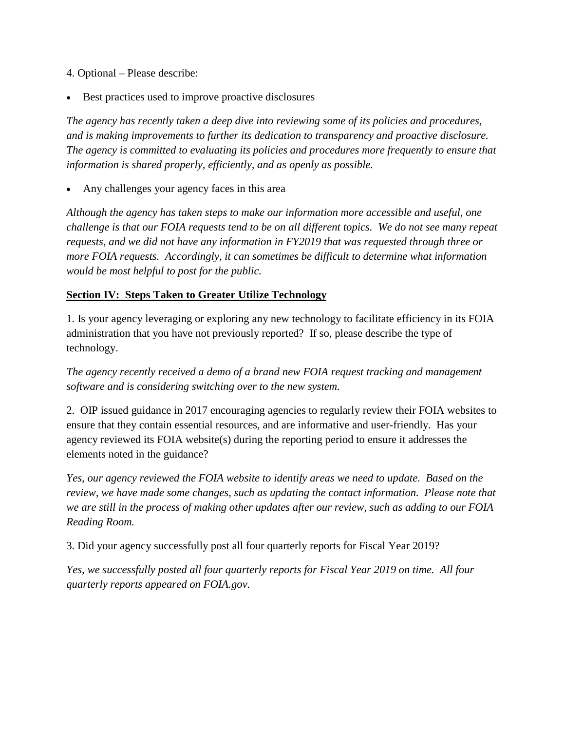- 4. Optional Please describe:
- Best practices used to improve proactive disclosures

*The agency has recently taken a deep dive into reviewing some of its policies and procedures, and is making improvements to further its dedication to transparency and proactive disclosure. The agency is committed to evaluating its policies and procedures more frequently to ensure that information is shared properly, efficiently, and as openly as possible.* 

• Any challenges your agency faces in this area

*Although the agency has taken steps to make our information more accessible and useful, one challenge is that our FOIA requests tend to be on all different topics. We do not see many repeat requests, and we did not have any information in FY2019 that was requested through three or more FOIA requests. Accordingly, it can sometimes be difficult to determine what information would be most helpful to post for the public.* 

#### **Section IV: Steps Taken to Greater Utilize Technology**

1. Is your agency leveraging or exploring any new technology to facilitate efficiency in its FOIA administration that you have not previously reported? If so, please describe the type of technology.

*The agency recently received a demo of a brand new FOIA request tracking and management software and is considering switching over to the new system.* 

2. OIP issued guidance in 2017 encouraging agencies to regularly review their FOIA websites to ensure that they contain essential resources, and are informative and user-friendly. Has your agency reviewed its FOIA website(s) during the reporting period to ensure it addresses the elements noted in the guidance?

*Yes, our agency reviewed the FOIA website to identify areas we need to update. Based on the review, we have made some changes, such as updating the contact information. Please note that we are still in the process of making other updates after our review, such as adding to our FOIA Reading Room.* 

3. Did your agency successfully post all four quarterly reports for Fiscal Year 2019?

*Yes, we successfully posted all four quarterly reports for Fiscal Year 2019 on time. All four quarterly reports appeared on FOIA.gov.*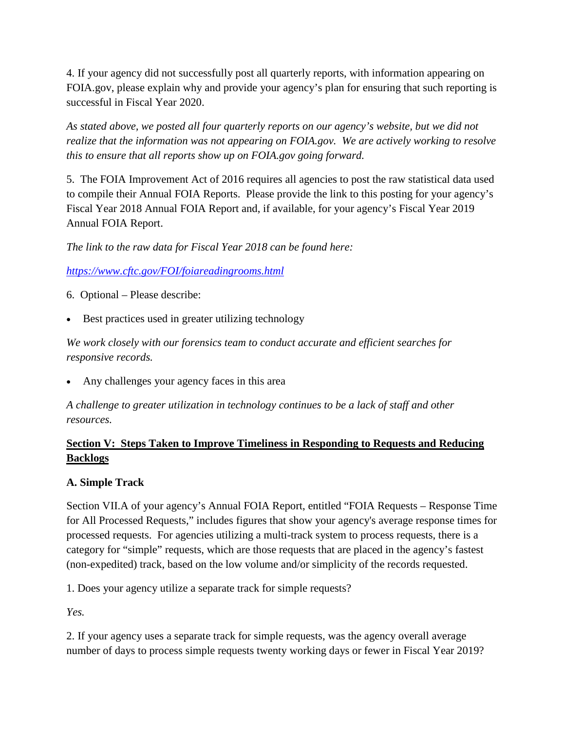4. If your agency did not successfully post all quarterly reports, with information appearing on FOIA.gov, please explain why and provide your agency's plan for ensuring that such reporting is successful in Fiscal Year 2020.

*As stated above, we posted all four quarterly reports on our agency's website, but we did not realize that the information was not appearing on FOIA.gov. We are actively working to resolve this to ensure that all reports show up on FOIA.gov going forward.* 

5. The FOIA Improvement Act of 2016 requires all agencies to post the raw statistical data used to compile their Annual FOIA Reports. Please provide the link to this posting for your agency's Fiscal Year 2018 Annual FOIA Report and, if available, for your agency's Fiscal Year 2019 Annual FOIA Report.

*The link to the raw data for Fiscal Year 2018 can be found here:* 

*<https://www.cftc.gov/FOI/foiareadingrooms.html>*

6. Optional – Please describe:

Best practices used in greater utilizing technology

*We work closely with our forensics team to conduct accurate and efficient searches for responsive records.* 

• Any challenges your agency faces in this area

*A challenge to greater utilization in technology continues to be a lack of staff and other resources.* 

### **Section V: Steps Taken to Improve Timeliness in Responding to Requests and Reducing Backlogs**

### **A. Simple Track**

Section VII.A of your agency's Annual FOIA Report, entitled "FOIA Requests – Response Time for All Processed Requests," includes figures that show your agency's average response times for processed requests. For agencies utilizing a multi-track system to process requests, there is a category for "simple" requests, which are those requests that are placed in the agency's fastest (non-expedited) track, based on the low volume and/or simplicity of the records requested.

1. Does your agency utilize a separate track for simple requests?

*Yes.* 

2. If your agency uses a separate track for simple requests, was the agency overall average number of days to process simple requests twenty working days or fewer in Fiscal Year 2019?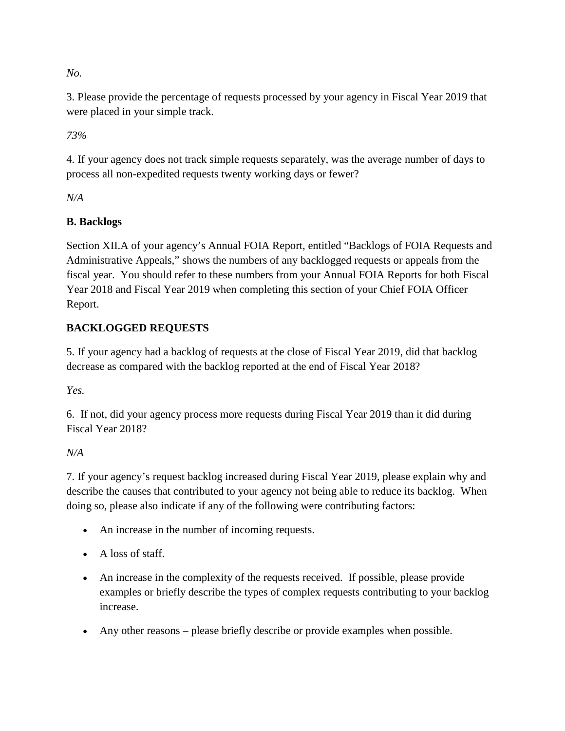*No.* 

3. Please provide the percentage of requests processed by your agency in Fiscal Year 2019 that were placed in your simple track.

*73%* 

4. If your agency does not track simple requests separately, was the average number of days to process all non-expedited requests twenty working days or fewer?

*N/A*

## **B. Backlogs**

Section XII.A of your agency's Annual FOIA Report, entitled "Backlogs of FOIA Requests and Administrative Appeals," shows the numbers of any backlogged requests or appeals from the fiscal year. You should refer to these numbers from your Annual FOIA Reports for both Fiscal Year 2018 and Fiscal Year 2019 when completing this section of your Chief FOIA Officer Report.

## **BACKLOGGED REQUESTS**

5. If your agency had a backlog of requests at the close of Fiscal Year 2019, did that backlog decrease as compared with the backlog reported at the end of Fiscal Year 2018?

*Yes.* 

6. If not, did your agency process more requests during Fiscal Year 2019 than it did during Fiscal Year 2018?

### *N/A*

7. If your agency's request backlog increased during Fiscal Year 2019, please explain why and describe the causes that contributed to your agency not being able to reduce its backlog. When doing so, please also indicate if any of the following were contributing factors:

- An increase in the number of incoming requests.
- A loss of staff.
- An increase in the complexity of the requests received. If possible, please provide examples or briefly describe the types of complex requests contributing to your backlog increase.
- Any other reasons please briefly describe or provide examples when possible.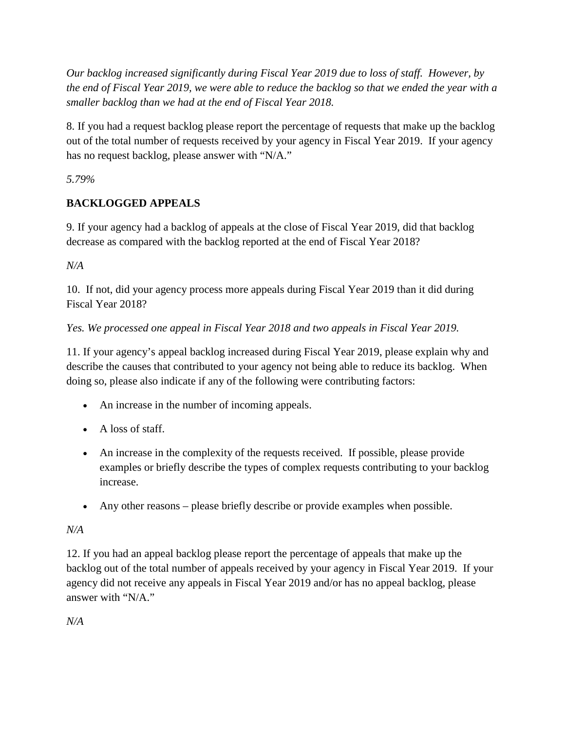*Our backlog increased significantly during Fiscal Year 2019 due to loss of staff. However, by the end of Fiscal Year 2019, we were able to reduce the backlog so that we ended the year with a smaller backlog than we had at the end of Fiscal Year 2018.* 

8. If you had a request backlog please report the percentage of requests that make up the backlog out of the total number of requests received by your agency in Fiscal Year 2019. If your agency has no request backlog, please answer with "N/A."

*5.79%* 

## **BACKLOGGED APPEALS**

9. If your agency had a backlog of appeals at the close of Fiscal Year 2019, did that backlog decrease as compared with the backlog reported at the end of Fiscal Year 2018?

*N/A*

10. If not, did your agency process more appeals during Fiscal Year 2019 than it did during Fiscal Year 2018?

### *Yes. We processed one appeal in Fiscal Year 2018 and two appeals in Fiscal Year 2019.*

11. If your agency's appeal backlog increased during Fiscal Year 2019, please explain why and describe the causes that contributed to your agency not being able to reduce its backlog. When doing so, please also indicate if any of the following were contributing factors:

- An increase in the number of incoming appeals.
- A loss of staff.
- An increase in the complexity of the requests received. If possible, please provide examples or briefly describe the types of complex requests contributing to your backlog increase.
- Any other reasons please briefly describe or provide examples when possible.

### *N/A*

12. If you had an appeal backlog please report the percentage of appeals that make up the backlog out of the total number of appeals received by your agency in Fiscal Year 2019. If your agency did not receive any appeals in Fiscal Year 2019 and/or has no appeal backlog, please answer with "N/A."

*N/A*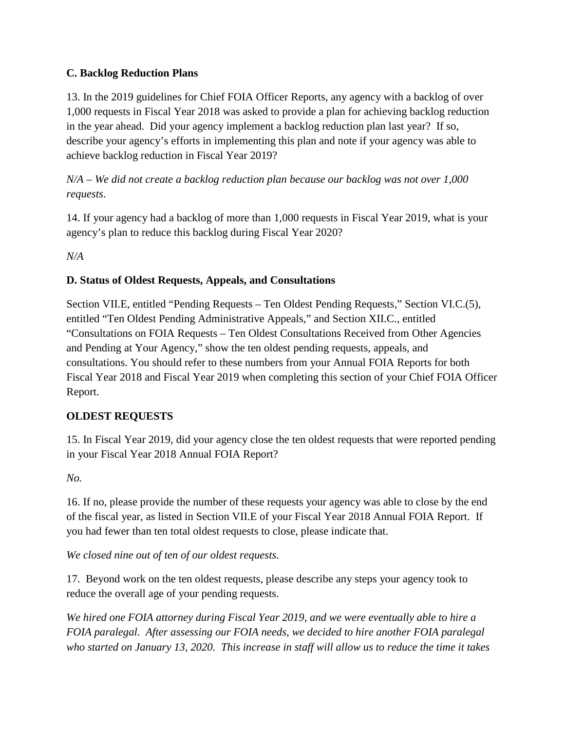### **C. Backlog Reduction Plans**

13. In the 2019 guidelines for Chief FOIA Officer Reports, any agency with a backlog of over 1,000 requests in Fiscal Year 2018 was asked to provide a plan for achieving backlog reduction in the year ahead. Did your agency implement a backlog reduction plan last year? If so, describe your agency's efforts in implementing this plan and note if your agency was able to achieve backlog reduction in Fiscal Year 2019?

### *N/A – We did not create a backlog reduction plan because our backlog was not over 1,000 requests*.

14. If your agency had a backlog of more than 1,000 requests in Fiscal Year 2019, what is your agency's plan to reduce this backlog during Fiscal Year 2020?

*N/A*

#### **D. Status of Oldest Requests, Appeals, and Consultations**

Section VII.E, entitled "Pending Requests – Ten Oldest Pending Requests," Section VI.C.(5), entitled "Ten Oldest Pending Administrative Appeals," and Section XII.C., entitled "Consultations on FOIA Requests – Ten Oldest Consultations Received from Other Agencies and Pending at Your Agency," show the ten oldest pending requests, appeals, and consultations. You should refer to these numbers from your Annual FOIA Reports for both Fiscal Year 2018 and Fiscal Year 2019 when completing this section of your Chief FOIA Officer Report.

### **OLDEST REQUESTS**

15. In Fiscal Year 2019, did your agency close the ten oldest requests that were reported pending in your Fiscal Year 2018 Annual FOIA Report?

*No.* 

16. If no, please provide the number of these requests your agency was able to close by the end of the fiscal year, as listed in Section VII.E of your Fiscal Year 2018 Annual FOIA Report. If you had fewer than ten total oldest requests to close, please indicate that.

*We closed nine out of ten of our oldest requests.* 

17. Beyond work on the ten oldest requests, please describe any steps your agency took to reduce the overall age of your pending requests.

*We hired one FOIA attorney during Fiscal Year 2019, and we were eventually able to hire a FOIA paralegal. After assessing our FOIA needs, we decided to hire another FOIA paralegal who started on January 13, 2020. This increase in staff will allow us to reduce the time it takes*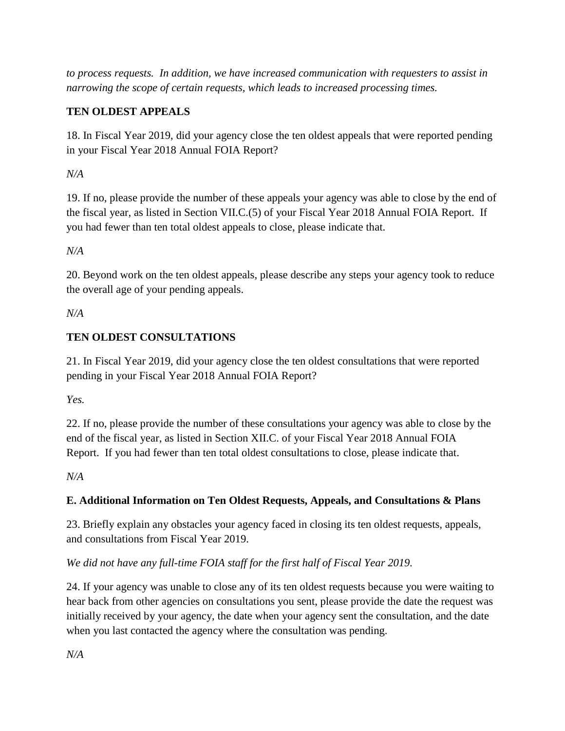*to process requests. In addition, we have increased communication with requesters to assist in narrowing the scope of certain requests, which leads to increased processing times.* 

## **TEN OLDEST APPEALS**

18. In Fiscal Year 2019, did your agency close the ten oldest appeals that were reported pending in your Fiscal Year 2018 Annual FOIA Report?

*N/A*

19. If no, please provide the number of these appeals your agency was able to close by the end of the fiscal year, as listed in Section VII.C.(5) of your Fiscal Year 2018 Annual FOIA Report. If you had fewer than ten total oldest appeals to close, please indicate that.

*N/A*

20. Beyond work on the ten oldest appeals, please describe any steps your agency took to reduce the overall age of your pending appeals.

*N/A*

## **TEN OLDEST CONSULTATIONS**

21. In Fiscal Year 2019, did your agency close the ten oldest consultations that were reported pending in your Fiscal Year 2018 Annual FOIA Report?

*Yes.* 

22. If no, please provide the number of these consultations your agency was able to close by the end of the fiscal year, as listed in Section XII.C. of your Fiscal Year 2018 Annual FOIA Report. If you had fewer than ten total oldest consultations to close, please indicate that.

*N/A*

## **E. Additional Information on Ten Oldest Requests, Appeals, and Consultations & Plans**

23. Briefly explain any obstacles your agency faced in closing its ten oldest requests, appeals, and consultations from Fiscal Year 2019.

## *We did not have any full-time FOIA staff for the first half of Fiscal Year 2019.*

24. If your agency was unable to close any of its ten oldest requests because you were waiting to hear back from other agencies on consultations you sent, please provide the date the request was initially received by your agency, the date when your agency sent the consultation, and the date when you last contacted the agency where the consultation was pending.